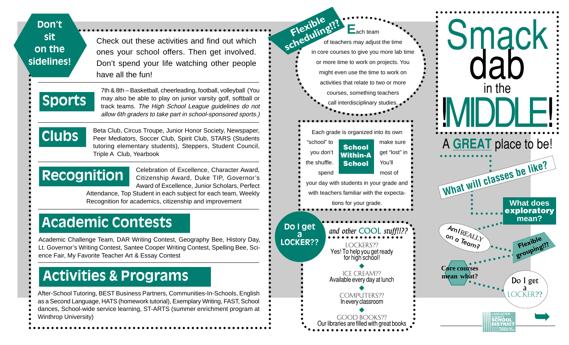| Don't<br>sit<br>Check out these activities and find out which<br>on the<br>ones your school offers. Then get involved.<br>sidelines!<br>Don't spend your life watching other people<br>have all the fun!                                                                          | Flexible n?<br>$E_{\text{ach team}}$<br>of teachers may adjust the time<br>in core courses to give you more lab time<br>or more time to work on projects. You<br>might even use the time to work on | Smack                                                              |
|-----------------------------------------------------------------------------------------------------------------------------------------------------------------------------------------------------------------------------------------------------------------------------------|-----------------------------------------------------------------------------------------------------------------------------------------------------------------------------------------------------|--------------------------------------------------------------------|
| 7th & 8th - Basketball, cheerleading, football, volleyball (You<br><b>Sports</b><br>may also be able to play on junior varsity golf, softball or<br>track teams. The High School League guidelines do not<br>allow 6th graders to take part in school-sponsored sports.)          | activities that relate to two or more<br>courses, something teachers<br>call interdisciplinary studies.                                                                                             | in the                                                             |
| Beta Club, Circus Troupe, Junior Honor Society, Newspaper,<br><b>Clubs</b><br>Peer Mediators, Soccer Club, Spirit Club, STARS (Students<br>tutoring elementary students), Steppers, Student Council,<br>Triple A Club, Yearbook                                                   | Each grade is organized into its own<br>"school" to<br>make sure<br><b>School</b><br>get "lost" in<br>you don't<br><b>Within-A</b>                                                                  | A GREAT place to be!                                               |
| Celebration of Excellence, Character Award,<br>Recognition<br>Citizenship Award, Duke TIP, Governor's<br>Award of Excellence, Junior Scholars, Perfect<br>Attendance, Top Student in each subject for each team, Weekly<br>Recognition for academics, citizenship and improvement | the shuffle.<br>You'll<br><b>School</b><br>most of<br>spend<br>your day with students in your grade and<br>with teachers familiar with the expecta-<br>tions for your grade.                        | What will classes be like?<br><b>What does</b>                     |
| Academic Contests<br>Academic Challenge Team, DAR Writing Contest, Geography Bee, History Day,                                                                                                                                                                                    | Do I get<br>and other COOL stuff!!??<br>LOCKER??<br><b>LOCKERS??</b>                                                                                                                                | exploratory<br>mean?<br>AmIREALLY<br><b>And Teamer</b><br>Flexible |
| Lt. Governor's Writing Contest, Santee Cooper Writing Contest, Spelling Bee, Sci-<br>ence Fair, My Favorite Teacher Art & Essay Contest<br><b>Activities &amp; Programs</b>                                                                                                       | Yes! To help you get ready<br>for high school!<br><b>ICE CREAM??</b><br>Available every day at lunch                                                                                                | grouping!<br><b>Core courses</b><br>mean what?<br>Do I get         |
| After-School Tutoring, BEST Business Partners, Communities-In-Schools, English<br>as a Second Language, HATS (homework tutorial), Exemplary Writing, FAST, School<br>dances, School-wide service learning, ST-ARTS (summer enrichment program at<br><b>Winthrop University)</b>   | <b>COMPUTERS??</b><br>In every classroom<br><b>GOOD BOOKS??</b>                                                                                                                                     | OCKER??<br>LANCASTER                                               |

 $\ddot{\cdot}$ 

 $\bullet$ - C

Good books?? Our libraries are filled with great books

**Putting our children first LANCASTER COUNTY SCHOOL DISTRICT**